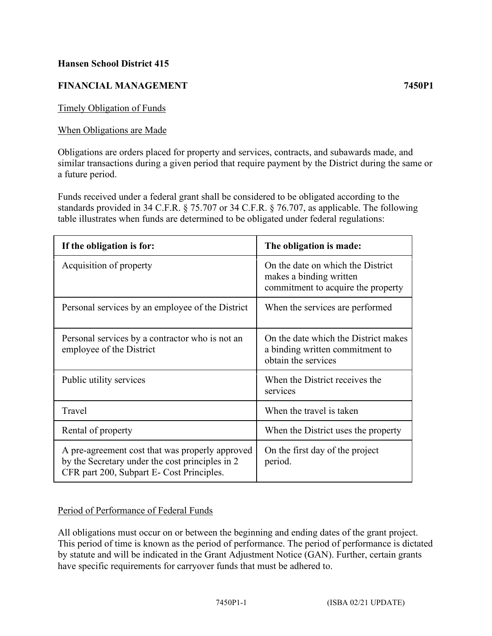# **Hansen School District 415**

# **FINANCIAL MANAGEMENT 7450P1**

Timely Obligation of Funds

### When Obligations are Made

Obligations are orders placed for property and services, contracts, and subawards made, and similar transactions during a given period that require payment by the District during the same or a future period.

Funds received under a federal grant shall be considered to be obligated according to the standards provided in 34 C.F.R. § 75.707 or 34 C.F.R. § 76.707, as applicable. The following table illustrates when funds are determined to be obligated under federal regulations:

| If the obligation is for:                                                                                                                       | The obligation is made:                                                                            |
|-------------------------------------------------------------------------------------------------------------------------------------------------|----------------------------------------------------------------------------------------------------|
| Acquisition of property                                                                                                                         | On the date on which the District<br>makes a binding written<br>commitment to acquire the property |
| Personal services by an employee of the District                                                                                                | When the services are performed                                                                    |
| Personal services by a contractor who is not an<br>employee of the District                                                                     | On the date which the District makes<br>a binding written commitment to<br>obtain the services     |
| Public utility services                                                                                                                         | When the District receives the<br>services                                                         |
| Travel                                                                                                                                          | When the travel is taken                                                                           |
| Rental of property                                                                                                                              | When the District uses the property                                                                |
| A pre-agreement cost that was properly approved<br>by the Secretary under the cost principles in 2<br>CFR part 200, Subpart E- Cost Principles. | On the first day of the project<br>period.                                                         |

#### Period of Performance of Federal Funds

All obligations must occur on or between the beginning and ending dates of the grant project. This period of time is known as the period of performance. The period of performance is dictated by statute and will be indicated in the Grant Adjustment Notice (GAN). Further, certain grants have specific requirements for carryover funds that must be adhered to.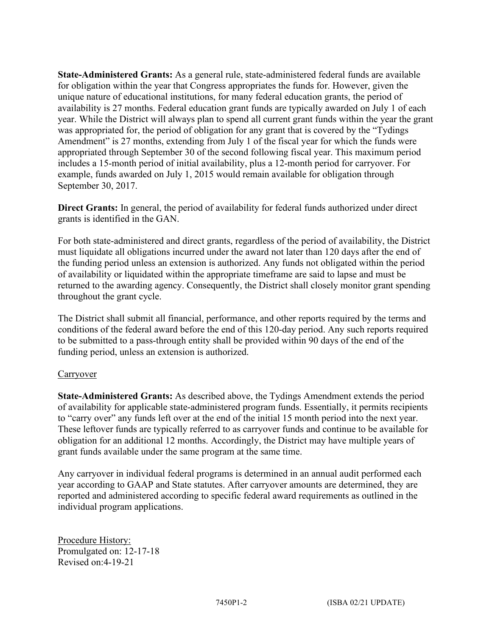**State-Administered Grants:** As a general rule, state-administered federal funds are available for obligation within the year that Congress appropriates the funds for. However, given the unique nature of educational institutions, for many federal education grants, the period of availability is 27 months. Federal education grant funds are typically awarded on July 1 of each year. While the District will always plan to spend all current grant funds within the year the grant was appropriated for, the period of obligation for any grant that is covered by the "Tydings Amendment" is 27 months, extending from July 1 of the fiscal year for which the funds were appropriated through September 30 of the second following fiscal year. This maximum period includes a 15-month period of initial availability, plus a 12-month period for carryover. For example, funds awarded on July 1, 2015 would remain available for obligation through September 30, 2017.

**Direct Grants:** In general, the period of availability for federal funds authorized under direct grants is identified in the GAN.

For both state-administered and direct grants, regardless of the period of availability, the District must liquidate all obligations incurred under the award not later than 120 days after the end of the funding period unless an extension is authorized. Any funds not obligated within the period of availability or liquidated within the appropriate timeframe are said to lapse and must be returned to the awarding agency. Consequently, the District shall closely monitor grant spending throughout the grant cycle.

The District shall submit all financial, performance, and other reports required by the terms and conditions of the federal award before the end of this 120-day period. Any such reports required to be submitted to a pass-through entity shall be provided within 90 days of the end of the funding period, unless an extension is authorized.

# **Carryover**

**State-Administered Grants:** As described above, the Tydings Amendment extends the period of availability for applicable state-administered program funds. Essentially, it permits recipients to "carry over" any funds left over at the end of the initial 15 month period into the next year. These leftover funds are typically referred to as carryover funds and continue to be available for obligation for an additional 12 months. Accordingly, the District may have multiple years of grant funds available under the same program at the same time.

Any carryover in individual federal programs is determined in an annual audit performed each year according to GAAP and State statutes. After carryover amounts are determined, they are reported and administered according to specific federal award requirements as outlined in the individual program applications.

Procedure History: Promulgated on: 12-17-18 Revised on:4-19-21